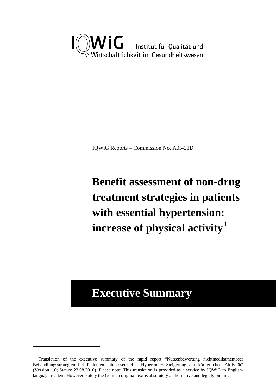

IQWiG Reports – Commission No. A05-21D

# **Benefit assessment of non-drug treatment strategies in patients with essential hypertension: increase of physical activity[1](#page-0-0)**

# **Executive Summary**

 $\overline{a}$ 

<span id="page-0-0"></span><sup>&</sup>lt;sup>1</sup> Translation of the executive summary of the rapid report "Nutzenbewertung nichtmedikamentöser Behandlungsstrategien bei Patienten mit essenzieller Hypertonie: Steigerung der körperlichen Aktivität" (Version 1.0; Status: 23.08.2010). Please note: This translation is provided as a service by IQWiG to Englishlanguage readers. However, solely the German original text is absolutely authoritative and legally binding.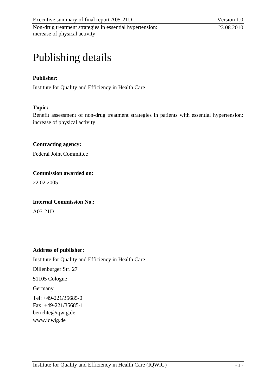# Publishing details

# **Publisher:**

Institute for Quality and Efficiency in Health Care

#### **Topic:**

Benefit assessment of non-drug treatment strategies in patients with essential hypertension: increase of physical activity

**Contracting agency:** 

Federal Joint Committee

**Commission awarded on:** 

22.02.2005

#### **Internal Commission No.:**

A05-21D

#### **Address of publisher:**

Institute for Quality and Efficiency in Health Care Dillenburger Str. 27 51105 Cologne Germany Tel: +49-221/35685-0 Fax: +49-221/35685-1 berichte@iqwig.de [www.iqwig.de](http://www.iqwig.de/)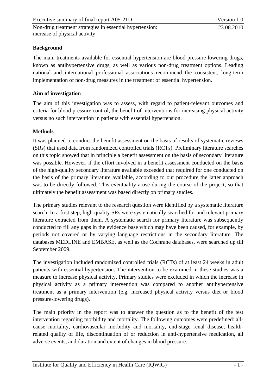## **Background**

The main treatments available for essential hypertension are blood pressure-lowering drugs, known as antihypertensive drugs, as well as various non-drug treatment options. Leading national and international professional associations recommend the consistent, long-term implementation of non-drug measures in the treatment of essential hypertension.

## **Aim of investigation**

The aim of this investigation was to assess, with regard to patient-relevant outcomes and criteria for blood pressure control, the benefit of interventions for increasing physical activity versus no such intervention in patients with essential hypertension.

## **Methods**

It was planned to conduct the benefit assessment on the basis of results of systematic reviews (SRs) that used data from randomized controlled trials (RCTs). Preliminary literature searches on this topic showed that in principle a benefit assessment on the basis of secondary literature was possible. However, if the effort involved in a benefit assessment conducted on the basis of the high-quality secondary literature available exceeded that required for one conducted on the basis of the primary literature available, according to our procedure the latter approach was to be directly followed. This eventuality arose during the course of the project, so that ultimately the benefit assessment was based directly on primary studies.

The primary studies relevant to the research question were identified by a systematic literature search. In a first step, high-quality SRs were systematically searched for and relevant primary literature extracted from them. A systematic search for primary literature was subsequently conducted to fill any gaps in the evidence base which may have been caused, for example, by periods not covered or by varying language restrictions in the secondary literature. The databases MEDLINE and EMBASE, as well as the Cochrane databases, were searched up till September 2009.

The investigation included randomized controlled trials (RCTs) of at least 24 weeks in adult patients with essential hypertension. The intervention to be examined in these studies was a measure to increase physical activity. Primary studies were excluded in which the increase in physical activity as a primary intervention was compared to another antihypertensive treatment as a primary intervention (e.g. increased physical activity versus diet or blood pressure-lowering drugs).

The main priority in the report was to answer the question as to the benefit of the test intervention regarding morbidity and mortality. The following outcomes were predefined: allcause mortality, cardiovascular morbidity and mortality, end-stage renal disease, healthrelated quality of life, discontinuation of or reduction in anti-hypertensive medication, all adverse events, and duration and extent of changes in blood pressure.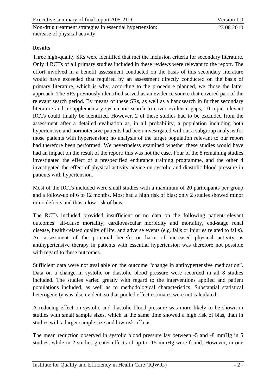Non-drug treatment strategies in essential hypertension: increase of physical activity

# **Results**

Three high-quality SRs were identified that met the inclusion criteria for secondary literature. Only 4 RCTs of all primary studies included in these reviews were relevant to the report. The effort involved in a benefit assessment conducted on the basis of this secondary literature would have exceeded that required by an assessment directly conducted on the basis of primary literature, which is why, according to the procedure planned, we chose the latter approach. The SRs previously identified served as an evidence source that covered part of the relevant search period. By means of these SRs, as well as a handsearch in further secondary literature and a supplementary systematic search to cover evidence gaps, 10 topic-relevant RCTs could finally be identified. However, 2 of these studies had to be excluded from the assessment after a detailed evaluation as, in all probability, a population including both hypertensive and normotensive patients had been investigated without a subgroup analysis for those patients with hypertension; no analysis of the target population relevant to our report had therefore been performed. We nevertheless examined whether these studies would have had an impact on the result of the report; this was not the case. Four of the 8 remaining studies investigated the effect of a prespecified endurance training programme, and the other 4 investigated the effect of physical activity advice on systolic and diastolic blood pressure in patients with hypertension.

Most of the RCTs included were small studies with a maximum of 20 participants per group and a follow-up of 6 to 12 months. Most had a high risk of bias; only 2 studies showed minor or no deficits and thus a low risk of bias.

The RCTs included provided insufficient or no data on the following patient-relevant outcomes: all-cause mortality, cardiovascular morbidity and mortality, end-stage renal disease, health-related quality of life, and adverse events (e.g. falls or injuries related to falls). An assessment of the potential benefit or harm of increased physical activity as antihypertensive therapy in patients with essential hypertension was therefore not possible with regard to these outcomes.

Sufficient data were not available on the outcome "change in antihypertensive medication". Data on a change in systolic or diastolic blood pressure were recorded in all 8 studies included. The studies varied greatly with regard to the interventions applied and patient populations included, as well as to methodological characteristics. Substantial statistical heterogeneity was also evident, so that pooled effect estimates were not calculated.

A reducing effect on systolic and diastolic blood pressure was more likely to be shown in studies with small sample sizes, which at the same time showed a high risk of bias, than in studies with a larger sample size and low risk of bias.

The mean reduction observed in systolic blood pressure lay between -5 and -8 mmHg in 5 studies, while in 2 studies greater effects of up to -15 mmHg were found. However, in one